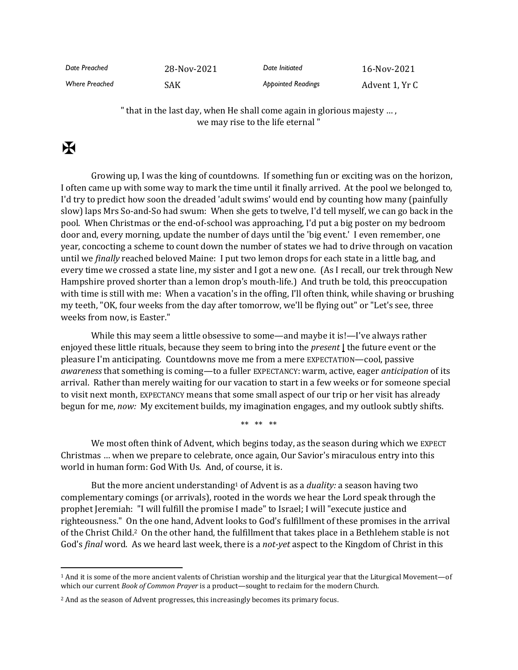| Date Preached         | 28-Nov-2021 | Date Initiated            | 16-Nov-2021    |
|-----------------------|-------------|---------------------------|----------------|
| <b>Where Preached</b> | SAK         | <b>Appointed Readings</b> | Advent 1, Yr C |

" that in the last day, when He shall come again in glorious majesty … , we may rise to the life eternal "

## $\mathbf F$

Growing up, I was the king of countdowns. If something fun or exciting was on the horizon, I often came up with some way to mark the time until it finally arrived. At the pool we belonged to, I'd try to predict how soon the dreaded 'adult swims' would end by counting how many (painfully slow) laps Mrs So-and-So had swum: When she gets to twelve, I'd tell myself, we can go back in the pool. When Christmas or the end-of-school was approaching, I'd put a big poster on my bedroom door and, every morning, update the number of days until the 'big event.' I even remember, one year, concocting a scheme to count down the number of states we had to drive through on vacation until we *finally* reached beloved Maine: I put two lemon drops for each state in a little bag, and every time we crossed a state line, my sister and I got a new one. (As I recall, our trek through New Hampshire proved shorter than a lemon drop's mouth-life.) And truth be told, this preoccupation with time is still with me: When a vacation's in the offing, I'll often think, while shaving or brushing my teeth, "OK, four weeks from the day after tomorrow, we'll be flying out" or "Let's see, three weeks from now, is Easter."

While this may seem a little obsessive to some—and maybe it is!—I've always rather enjoyed these little rituals, because they seem to bring into the *present* **|** the future event or the pleasure I'm anticipating. Countdowns move me from a mere EXPECTATION—cool, passive *awareness* that something is coming—to a fuller EXPECTANCY: warm, active, eager *anticipation* of its arrival. Rather than merely waiting for our vacation to start in a few weeks or for someone special to visit next month, EXPECTANCY means that some small aspect of our trip or her visit has already begun for me, *now:* My excitement builds, my imagination engages, and my outlook subtly shifts.

\*\* \*\* \*\*

We most often think of Advent, which begins today, as the season during which we EXPECT Christmas … when we prepare to celebrate, once again, Our Savior's miraculous entry into this world in human form: God With Us. And, of course, it is.

But the more ancient understanding<sup>1</sup> of Advent is as a *duality:* a season having two complementary comings (or arrivals), rooted in the words we hear the Lord speak through the prophet Jeremiah: "I will fulfill the promise I made" to Israel; I will "execute justice and righteousness." On the one hand, Advent looks to God's fulfillment of these promises in the arrival of the Christ Child.2 On the other hand, the fulfillment that takes place in a Bethlehem stable is not God's *final* word. As we heard last week, there is a *not-yet* aspect to the Kingdom of Christ in this

 $<sup>1</sup>$  And it is some of the more ancient valents of Christian worship and the liturgical year that the Liturgical Movement—of</sup> which our current *Book of Common Prayer* is a product—sought to reclaim for the modern Church.

<sup>&</sup>lt;sup>2</sup> And as the season of Advent progresses, this increasingly becomes its primary focus.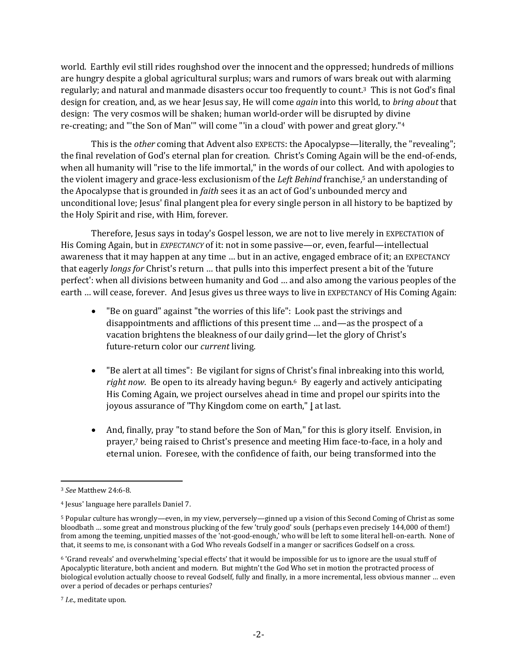world. Earthly evil still rides roughshod over the innocent and the oppressed; hundreds of millions are hungry despite a global agricultural surplus; wars and rumors of wars break out with alarming regularly; and natural and manmade disasters occur too frequently to count.3 This is not God's final design for creation, and, as we hear Jesus say, He will come *again* into this world, to *bring about* that design: The very cosmos will be shaken; human world-order will be disrupted by divine re-creating; and "'the Son of Man'" will come "'in a cloud' with power and great glory."<sup>4</sup>

This is the *other* coming that Advent also EXPECTS: the Apocalypse—literally, the "revealing"; the final revelation of God's eternal plan for creation. Christ's Coming Again will be the end-of-ends, when all humanity will "rise to the life immortal," in the words of our collect. And with apologies to the violent imagery and grace-less exclusionism of the *Left Behind* franchise,<sup>5</sup> an understanding of the Apocalypse that is grounded in *faith* sees it as an act of God's unbounded mercy and unconditional love; Jesus' final plangent plea for every single person in all history to be baptized by the Holy Spirit and rise, with Him, forever.

Therefore, Jesus says in today's Gospel lesson, we are not to live merely in EXPECTATION of His Coming Again, but in *EXPECTANCY* of it: not in some passive—or, even, fearful—intellectual awareness that it may happen at any time … but in an active, engaged embrace of it; an EXPECTANCY that eagerly *longs for* Christ's return … that pulls into this imperfect present a bit of the 'future perfect': when all divisions between humanity and God … and also among the various peoples of the earth … will cease, forever. And Jesus gives us three ways to live in EXPECTANCY of His Coming Again:

- "Be on guard" against "the worries of this life": Look past the strivings and disappointments and afflictions of this present time … and—as the prospect of a vacation brightens the bleakness of our daily grind—let the glory of Christ's future-return color our *current* living.
- "Be alert at all times": Be vigilant for signs of Christ's final inbreaking into this world, *right now*. Be open to its already having begun. <sup>6</sup> By eagerly and actively anticipating His Coming Again, we project ourselves ahead in time and propel our spirits into the joyous assurance of "Thy Kingdom come on earth," **|** at last.
- And, finally, pray "to stand before the Son of Man," for this is glory itself. Envision, in prayer,<sup>7</sup> being raised to Christ's presence and meeting Him face-to-face, in a holy and eternal union. Foresee, with the confidence of faith, our being transformed into the

<sup>3</sup> *See* Matthew 24:6-8.

<sup>4</sup> Jesus' language here parallels Daniel 7.

<sup>5</sup> Popular culture has wrongly—even, in my view, perversely—ginned up a vision of this Second Coming of Christ as some bloodbath … some great and monstrous plucking of the few 'truly good' souls (perhaps even precisely 144,000 of them!) from among the teeming, unpitied masses of the 'not-good-enough,' who will be left to some literal hell-on-earth. None of that, it seems to me, is consonant with a God Who reveals Godself in a manger or sacrifices Godself on a cross.

<sup>6</sup> 'Grand reveals' and overwhelming 'special effects' that it would be impossible for us to ignore are the usual stuff of Apocalyptic literature, both ancient and modern. But mightn't the God Who set in motion the protracted process of biological evolution actually choose to reveal Godself, fully and finally, in a more incremental, less obvious manner … even over a period of decades or perhaps centuries?

<sup>7</sup> *I.e.,* meditate upon.